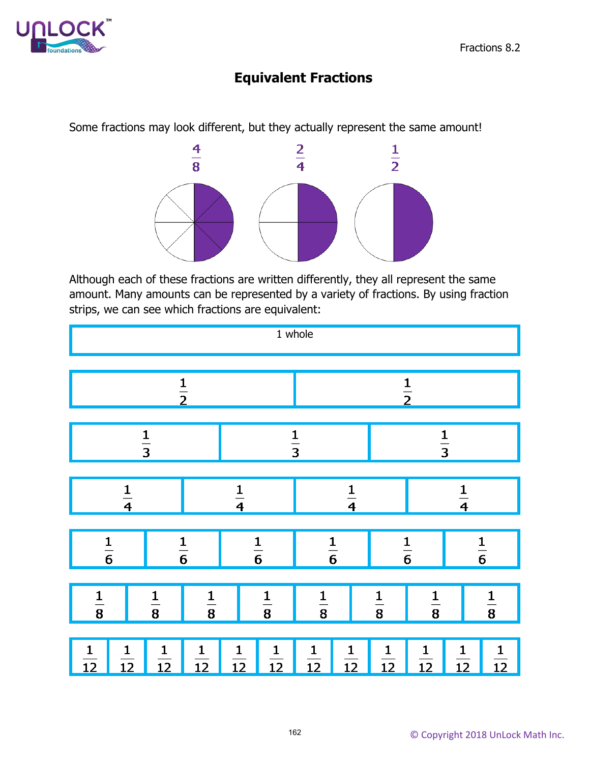

## **Equivalent Fractions**

Some fractions may look different, but they actually represent the same amount!



Although each of these fractions are written differently, they all represent the same amount. Many amounts can be represented by a variety of fractions. By using fraction strips, we can see which fractions are equivalent:

| 1 whole                         |                |                |                |                |                |                                 |                                 |                                 |                |                |                                 |
|---------------------------------|----------------|----------------|----------------|----------------|----------------|---------------------------------|---------------------------------|---------------------------------|----------------|----------------|---------------------------------|
| $\frac{1}{2}$                   |                |                |                |                |                | $\frac{1}{2}$                   |                                 |                                 |                |                |                                 |
| $\frac{1}{3}$                   |                |                |                | $\frac{1}{3}$  |                |                                 | $\frac{1}{3}$                   |                                 |                |                |                                 |
| $\frac{1}{4}$                   |                |                | $\frac{1}{4}$  |                |                | $\frac{1}{4}$                   |                                 |                                 | $\frac{1}{4}$  |                |                                 |
| $\frac{1}{6}$                   |                | $\frac{1}{6}$  |                | $\frac{1}{6}$  |                | $\frac{1}{6}$                   |                                 | $\frac{1}{6}$                   |                | $\frac{1}{6}$  |                                 |
| $\frac{1}{8}$                   |                | $\frac{1}{8}$  | $\frac{1}{8}$  |                | $\frac{1}{8}$  |                                 |                                 | $\frac{1}{8}$                   | $\frac{1}{8}$  |                | $\frac{1}{8}$                   |
| $\mathbf{1}$<br>$\overline{12}$ | $\frac{1}{12}$ | $\frac{1}{12}$ | $\frac{1}{12}$ | $\frac{1}{12}$ | $\frac{1}{12}$ | $\mathbf{1}$<br>$\overline{12}$ | $\mathbf{1}$<br>$\overline{12}$ | $\mathbf{1}$<br>$\overline{12}$ | $\frac{1}{12}$ | $\frac{1}{12}$ | $\mathbf{1}$<br>$\overline{12}$ |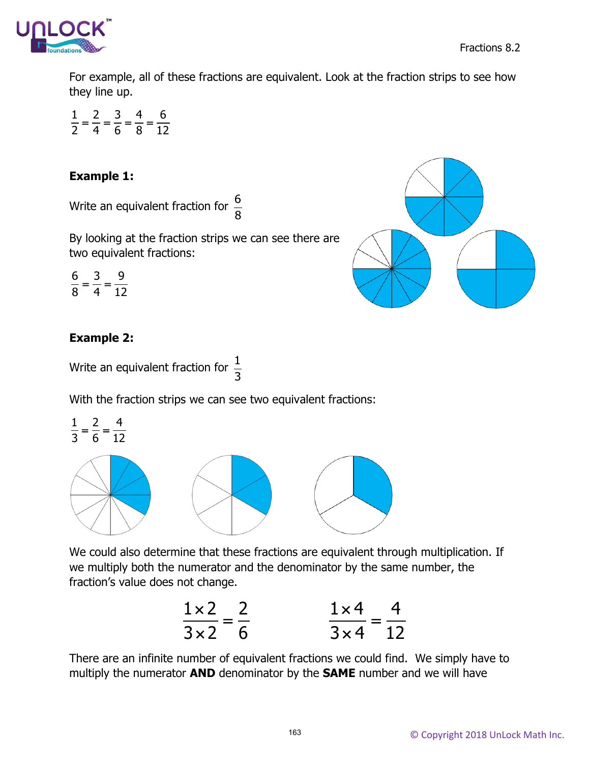

For example, all of these fractions are equivalent. Look at the fraction strips to see how they line up.

 $\frac{1}{2} = \frac{2}{4} = \frac{3}{6} = \frac{4}{3} = \frac{6}{13}$ 2 4 6 8 12

## **Example 1:**

Write an equivalent fraction for  $\frac{6}{8}$ 8

By looking at the fraction strips we can see there are two equivalent fractions:

$$
\frac{6}{8} = \frac{3}{4} = \frac{9}{12}
$$



Write an equivalent fraction for  $\frac{1}{2}$ 3

With the fraction strips we can see two equivalent fractions:

$$
\frac{1}{3} = \frac{2}{6} = \frac{4}{12}
$$

We could also determine that these fractions are equivalent through multiplication. If we multiply both the numerator and the denominator by the same number, the fraction's value does not change.

$$
\frac{1 \times 2}{3 \times 2} = \frac{2}{6}
$$
\n
$$
\frac{1 \times 4}{3 \times 4} = \frac{4}{12}
$$

There are an infinite number of equivalent fractions we could find. We simply have to multiply the numerator **AND** denominator by the **SAME** number and we will have